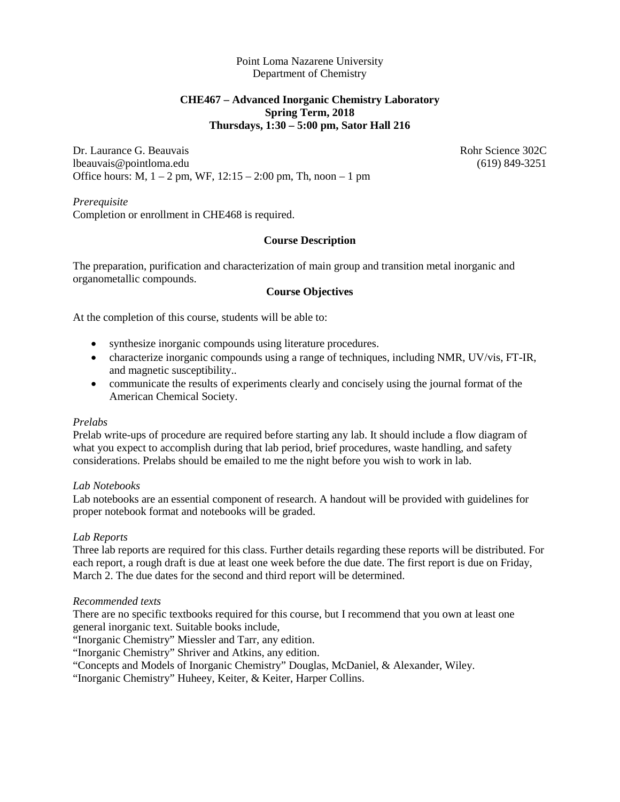Point Loma Nazarene University Department of Chemistry

# **CHE467 – Advanced Inorganic Chemistry Laboratory Spring Term, 2018 Thursdays, 1:30 – 5:00 pm, Sator Hall 216**

Dr. Laurance G. Beauvais **Robert Community** Rohr Science 302C lbeauvais@pointloma.edu (619) 849-3251 Office hours: M,  $1 - 2$  pm, WF,  $12:15 - 2:00$  pm, Th, noon  $-1$  pm

*Prerequisite* Completion or enrollment in CHE468 is required.

## **Course Description**

The preparation, purification and characterization of main group and transition metal inorganic and organometallic compounds.

## **Course Objectives**

At the completion of this course, students will be able to:

- synthesize inorganic compounds using literature procedures.
- characterize inorganic compounds using a range of techniques, including NMR, UV/vis, FT-IR, and magnetic susceptibility..
- communicate the results of experiments clearly and concisely using the journal format of the American Chemical Society.

#### *Prelabs*

Prelab write-ups of procedure are required before starting any lab. It should include a flow diagram of what you expect to accomplish during that lab period, brief procedures, waste handling, and safety considerations. Prelabs should be emailed to me the night before you wish to work in lab.

### *Lab Notebooks*

Lab notebooks are an essential component of research. A handout will be provided with guidelines for proper notebook format and notebooks will be graded.

### *Lab Reports*

Three lab reports are required for this class. Further details regarding these reports will be distributed. For each report, a rough draft is due at least one week before the due date. The first report is due on Friday, March 2. The due dates for the second and third report will be determined.

### *Recommended texts*

There are no specific textbooks required for this course, but I recommend that you own at least one general inorganic text. Suitable books include,

"Inorganic Chemistry" Miessler and Tarr, any edition.

"Inorganic Chemistry" Shriver and Atkins, any edition.

"Concepts and Models of Inorganic Chemistry" Douglas, McDaniel, & Alexander, Wiley.

"Inorganic Chemistry" Huheey, Keiter, & Keiter, Harper Collins.